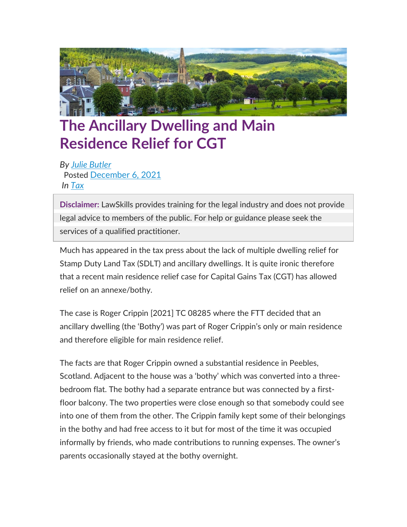

## **The Ancillary Dwelling and Main Residence Relief for CGT**

*By Julie [Butler](https://www.lawskills.co.uk/articles/author/julie-butler/)* Posted [December](https://www.lawskills.co.uk/articles/2021/12/) 6, 2021 *In [Tax](https://www.lawskills.co.uk/articles/category/tax/)*

**Disclaimer:** LawSkills provides training for the legal industry and does not provide legal advice to members of the public. For help or guidance please seek the services of a qualified practitioner.

Much has appeared in the tax press about the lack of multiple dwelling relief for Stamp Duty Land Tax (SDLT) and ancillary dwellings. It is quite ironic therefore that a recent main residence relief case for Capital Gains Tax (CGT) has allowed relief on an annexe/bothy.

The case is Roger Crippin [2021] TC 08285 where the FTT decided that an ancillary dwelling (the 'Bothy') was part of Roger Crippin's only or main residence and therefore eligible for main residence relief.

The facts are that Roger Crippin owned a substantial residence in Peebles, Scotland. Adjacent to the house was a 'bothy' which was converted into a threebedroom flat. The bothy had a separate entrance but was connected by a firstfloor balcony. The two properties were close enough so that somebody could see into one of them from the other. The Crippin family kept some of their belongings in the bothy and had free access to it but for most of the time it was occupied informally by friends, who made contributions to running expenses. The owner's parents occasionally stayed at the bothy overnight.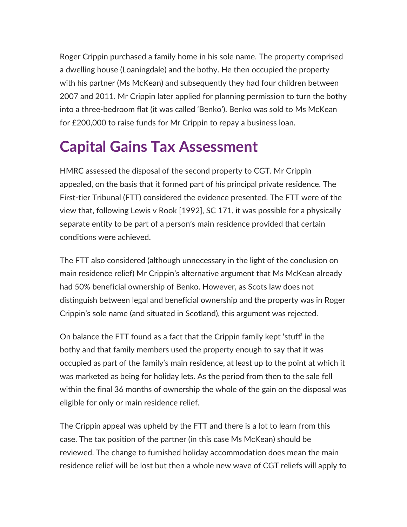Roger Crippin purchased a family home in his sole name. The property comprised a dwelling house (Loaningdale) and the bothy. He then occupied the property with his partner (Ms McKean) and subsequently they had four children between 2007 and 2011. Mr Crippin later applied for planning permission to turn the bothy into a three-bedroom flat (it was called 'Benko'). Benko was sold to Ms McKean for £200,000 to raise funds for Mr Crippin to repay a business loan.

## **Capital Gains Tax Assessment**

HMRC assessed the disposal of the second property to CGT. Mr Crippin appealed, on the basis that it formed part of his principal private residence. The First-tier Tribunal (FTT) considered the evidence presented. The FTT were of the view that, following Lewis v Rook [1992], SC 171, it was possible for a physically separate entity to be part of a person's main residence provided that certain conditions were achieved.

The FTT also considered (although unnecessary in the light of the conclusion on main residence relief) Mr Crippin's alternative argument that Ms McKean already had 50% beneficial ownership of Benko. However, as Scots law does not distinguish between legal and beneficial ownership and the property was in Roger Crippin's sole name (and situated in Scotland), this argument was rejected.

On balance the FTT found as a fact that the Crippin family kept 'stuff' in the bothy and that family members used the property enough to say that it was occupied as part of the family's main residence, at least up to the point at which it was marketed as being for holiday lets. As the period from then to the sale fell within the final 36 months of ownership the whole of the gain on the disposal was eligible for only or main residence relief.

The Crippin appeal was upheld by the FTT and there is a lot to learn from this case. The tax position of the partner (in this case Ms McKean) should be reviewed. The change to furnished holiday accommodation does mean the main residence relief will be lost but then a whole new wave of CGT reliefs will apply to